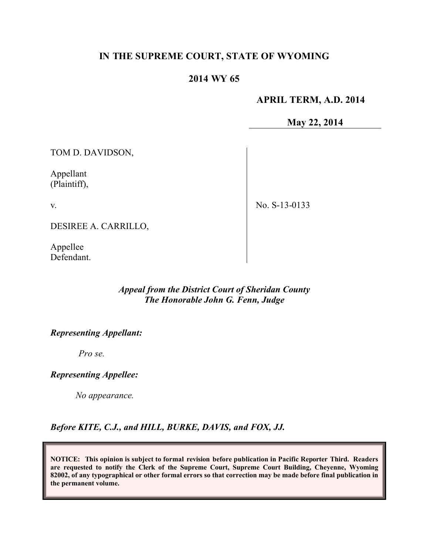# **IN THE SUPREME COURT, STATE OF WYOMING**

# **2014 WY 65**

### **APRIL TERM, A.D. 2014**

**May 22, 2014**

TOM D. DAVIDSON,

Appellant (Plaintiff),

v.

No. S-13-0133

DESIREE A. CARRILLO,

Appellee Defendant.

# *Appeal from the District Court of Sheridan County The Honorable John G. Fenn, Judge*

# *Representing Appellant:*

*Pro se.*

# *Representing Appellee:*

*No appearance.*

*Before KITE, C.J., and HILL, BURKE, DAVIS, and FOX, JJ.*

**NOTICE: This opinion is subject to formal revision before publication in Pacific Reporter Third. Readers are requested to notify the Clerk of the Supreme Court, Supreme Court Building, Cheyenne, Wyoming 82002, of any typographical or other formal errors so that correction may be made before final publication in the permanent volume.**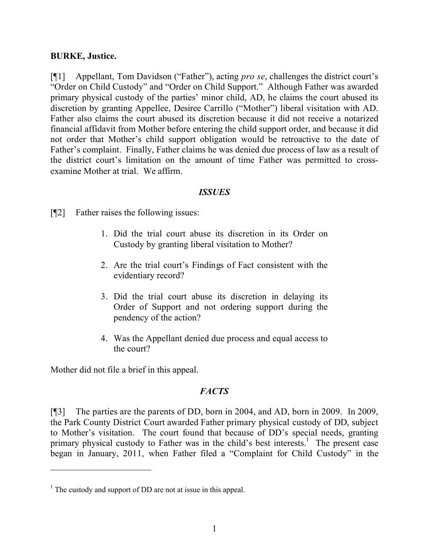### **BURKE, Justice.**

[¶1] Appellant, Tom Davidson ("Father"), acting *pro se*, challenges the district court's "Order on Child Custody" and "Order on Child Support." Although Father was awarded primary physical custody of the parties' minor child, AD, he claims the court abused its discretion by granting Appellee, Desiree Carrillo ("Mother") liberal visitation with AD. Father also claims the court abused its discretion because it did not receive a notarized financial affidavit from Mother before entering the child support order, and because it did not order that Mother's child support obligation would be retroactive to the date of Father's complaint. Finally, Father claims he was denied due process of law as a result of the district court's limitation on the amount of time Father was permitted to crossexamine Mother at trial. We affirm.

#### *ISSUES*

[¶2] Father raises the following issues:

- 1. Did the trial court abuse its discretion in its Order on Custody by granting liberal visitation to Mother?
- 2. Are the trial court's Findings of Fact consistent with the evidentiary record?
- 3. Did the trial court abuse its discretion in delaying its Order of Support and not ordering support during the pendency of the action?
- 4. Was the Appellant denied due process and equal access to the court?

Mother did not file a brief in this appeal.

 $\overline{a}$ 

# *FACTS*

[¶3] The parties are the parents of DD, born in 2004, and AD, born in 2009. In 2009, the Park County District Court awarded Father primary physical custody of DD, subject to Mother's visitation. The court found that because of DD's special needs, granting primary physical custody to Father was in the child's best interests.<sup>1</sup> The present case began in January, 2011, when Father filed a "Complaint for Child Custody" in the

<sup>&</sup>lt;sup>1</sup> The custody and support of DD are not at issue in this appeal.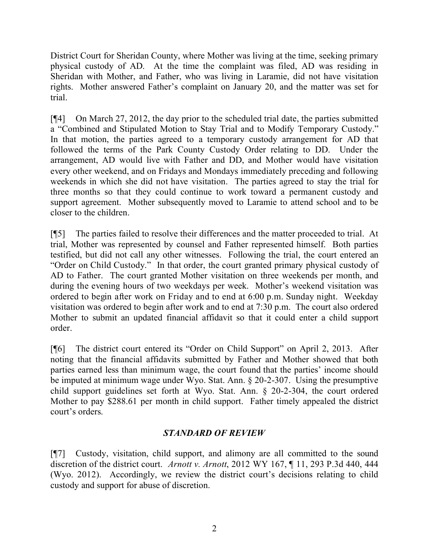District Court for Sheridan County, where Mother was living at the time, seeking primary physical custody of AD. At the time the complaint was filed, AD was residing in Sheridan with Mother, and Father, who was living in Laramie, did not have visitation rights. Mother answered Father's complaint on January 20, and the matter was set for trial.

[¶4] On March 27, 2012, the day prior to the scheduled trial date, the parties submitted a "Combined and Stipulated Motion to Stay Trial and to Modify Temporary Custody." In that motion, the parties agreed to a temporary custody arrangement for AD that followed the terms of the Park County Custody Order relating to DD. Under the arrangement, AD would live with Father and DD, and Mother would have visitation every other weekend, and on Fridays and Mondays immediately preceding and following weekends in which she did not have visitation. The parties agreed to stay the trial for three months so that they could continue to work toward a permanent custody and support agreement. Mother subsequently moved to Laramie to attend school and to be closer to the children.

[¶5] The parties failed to resolve their differences and the matter proceeded to trial. At trial, Mother was represented by counsel and Father represented himself. Both parties testified, but did not call any other witnesses. Following the trial, the court entered an "Order on Child Custody." In that order, the court granted primary physical custody of AD to Father. The court granted Mother visitation on three weekends per month, and during the evening hours of two weekdays per week. Mother's weekend visitation was ordered to begin after work on Friday and to end at 6:00 p.m. Sunday night. Weekday visitation was ordered to begin after work and to end at 7:30 p.m. The court also ordered Mother to submit an updated financial affidavit so that it could enter a child support order.

[¶6] The district court entered its "Order on Child Support" on April 2, 2013. After noting that the financial affidavits submitted by Father and Mother showed that both parties earned less than minimum wage, the court found that the parties' income should be imputed at minimum wage under Wyo. Stat. Ann. § 20-2-307. Using the presumptive child support guidelines set forth at Wyo. Stat. Ann. § 20-2-304, the court ordered Mother to pay \$288.61 per month in child support. Father timely appealed the district court's orders.

# *STANDARD OF REVIEW*

[¶7] Custody, visitation, child support, and alimony are all committed to the sound discretion of the district court. *Arnott v. Arnott*, 2012 WY 167, ¶ 11, 293 P.3d 440, 444 (Wyo. 2012). Accordingly, we review the district court's decisions relating to child custody and support for abuse of discretion.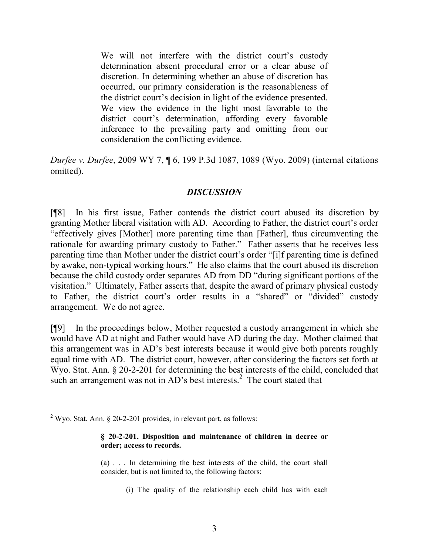We will not interfere with the district court's custody determination absent procedural error or a clear abuse of discretion. In determining whether an abuse of discretion has occurred, our primary consideration is the reasonableness of the district court's decision in light of the evidence presented. We view the evidence in the light most favorable to the district court's determination, affording every favorable inference to the prevailing party and omitting from our consideration the conflicting evidence.

*Durfee v. Durfee*, 2009 WY 7, ¶ 6, 199 P.3d 1087, 1089 (Wyo. 2009) (internal citations omitted).

# *DISCUSSION*

[¶8] In his first issue, Father contends the district court abused its discretion by granting Mother liberal visitation with AD. According to Father, the district court's order "effectively gives [Mother] more parenting time than [Father], thus circumventing the rationale for awarding primary custody to Father." Father asserts that he receives less parenting time than Mother under the district court's order "[i]f parenting time is defined by awake, non-typical working hours." He also claims that the court abused its discretion because the child custody order separates AD from DD "during significant portions of the visitation." Ultimately, Father asserts that, despite the award of primary physical custody to Father, the district court's order results in a "shared" or "divided" custody arrangement. We do not agree.

[¶9] In the proceedings below, Mother requested a custody arrangement in which she would have AD at night and Father would have AD during the day. Mother claimed that this arrangement was in AD's best interests because it would give both parents roughly equal time with AD. The district court, however, after considering the factors set forth at Wyo. Stat. Ann. § 20-2-201 for determining the best interests of the child, concluded that such an arrangement was not in AD's best interests.<sup>2</sup> The court stated that

 $\overline{a}$ 

#### **§ 20-2-201. Disposition and maintenance of children in decree or order; access to records.**

- (a) . . . In determining the best interests of the child, the court shall consider, but is not limited to, the following factors:
	- (i) The quality of the relationship each child has with each

<sup>&</sup>lt;sup>2</sup> Wyo. Stat. Ann.  $\S$  20-2-201 provides, in relevant part, as follows: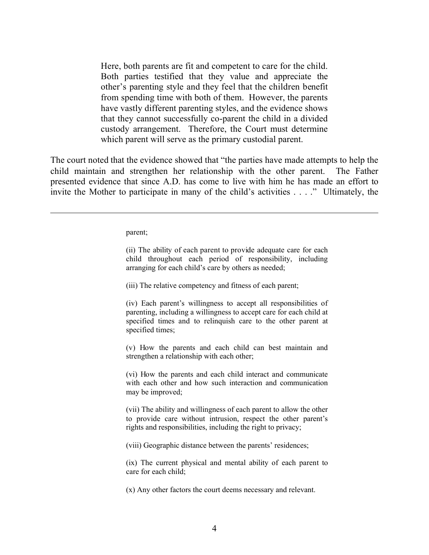Here, both parents are fit and competent to care for the child. Both parties testified that they value and appreciate the other's parenting style and they feel that the children benefit from spending time with both of them. However, the parents have vastly different parenting styles, and the evidence shows that they cannot successfully co-parent the child in a divided custody arrangement. Therefore, the Court must determine which parent will serve as the primary custodial parent.

The court noted that the evidence showed that "the parties have made attempts to help the child maintain and strengthen her relationship with the other parent. The Father presented evidence that since A.D. has come to live with him he has made an effort to invite the Mother to participate in many of the child's activities . . . ." Ultimately, the

parent;

 $\overline{a}$ 

(ii) The ability of each parent to provide adequate care for each child throughout each period of responsibility, including arranging for each child's care by others as needed;

(iii) The relative competency and fitness of each parent;

(iv) Each parent's willingness to accept all responsibilities of parenting, including a willingness to accept care for each child at specified times and to relinquish care to the other parent at specified times;

(v) How the parents and each child can best maintain and strengthen a relationship with each other;

(vi) How the parents and each child interact and communicate with each other and how such interaction and communication may be improved;

(vii) The ability and willingness of each parent to allow the other to provide care without intrusion, respect the other parent's rights and responsibilities, including the right to privacy;

(viii) Geographic distance between the parents' residences;

(ix) The current physical and mental ability of each parent to care for each child;

(x) Any other factors the court deems necessary and relevant.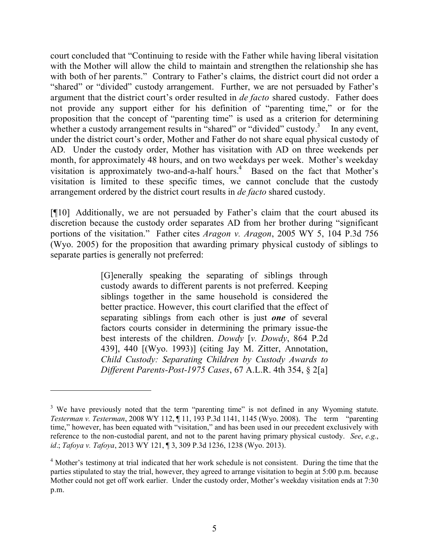court concluded that "Continuing to reside with the Father while having liberal visitation with the Mother will allow the child to maintain and strengthen the relationship she has with both of her parents." Contrary to Father's claims, the district court did not order a "shared" or "divided" custody arrangement. Further, we are not persuaded by Father's argument that the district court's order resulted in *de facto* shared custody. Father does not provide any support either for his definition of "parenting time," or for the proposition that the concept of "parenting time" is used as a criterion for determining whether a custody arrangement results in "shared" or "divided" custody.<sup>3</sup> In any event, under the district court's order, Mother and Father do not share equal physical custody of AD. Under the custody order, Mother has visitation with AD on three weekends per month, for approximately 48 hours, and on two weekdays per week. Mother's weekday visitation is approximately two-and-a-half hours.<sup>4</sup> Based on the fact that Mother's visitation is limited to these specific times, we cannot conclude that the custody arrangement ordered by the district court results in *de facto* shared custody.

[¶10] Additionally, we are not persuaded by Father's claim that the court abused its discretion because the custody order separates AD from her brother during "significant portions of the visitation." Father cites *Aragon v. Aragon*, 2005 WY 5, 104 P.3d 756 (Wyo. 2005) for the proposition that awarding primary physical custody of siblings to separate parties is generally not preferred:

> [G]enerally speaking the separating of siblings through custody awards to different parents is not preferred. Keeping siblings together in the same household is considered the better practice. However, this court clarified that the effect of separating siblings from each other is just *one* of several factors courts consider in determining the primary issue-the best interests of the children. *Dowdy* [*v. Dowdy*, 864 P.2d 439], 440 [(Wyo. 1993)] (citing Jay M. Zitter, Annotation, *Child Custody: Separating Children by Custody Awards to Different Parents-Post-1975 Cases*, 67 A.L.R. 4th 354, § 2[a]

<sup>&</sup>lt;sup>3</sup> We have previously noted that the term "parenting time" is not defined in any Wyoming statute. *Testerman v. Testerman*, 2008 WY 112, ¶ 11, 193 P.3d 1141, 1145 (Wyo. 2008). The term "parenting time," however, has been equated with "visitation," and has been used in our precedent exclusively with reference to the non-custodial parent, and not to the parent having primary physical custody. *See*, *e.g.*, *id*.; *Tafoya v. Tafoya*, 2013 WY 121, ¶ 3, 309 P.3d 1236, 1238 (Wyo. 2013).

<sup>&</sup>lt;sup>4</sup> Mother's testimony at trial indicated that her work schedule is not consistent. During the time that the parties stipulated to stay the trial, however, they agreed to arrange visitation to begin at 5:00 p.m. because Mother could not get off work earlier. Under the custody order, Mother's weekday visitation ends at 7:30 p.m.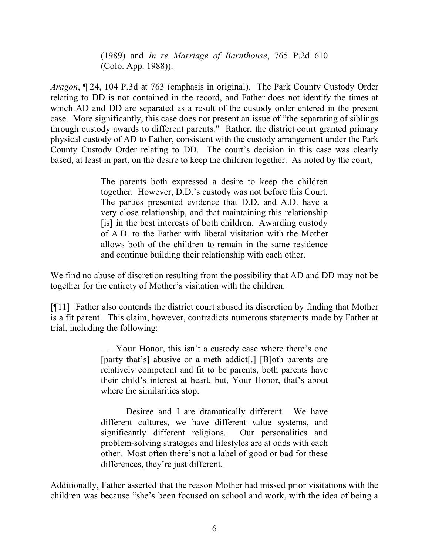(1989) and *In re Marriage of Barnthouse*, 765 P.2d 610 (Colo. App. 1988)).

*Aragon*, ¶ 24, 104 P.3d at 763 (emphasis in original). The Park County Custody Order relating to DD is not contained in the record, and Father does not identify the times at which AD and DD are separated as a result of the custody order entered in the present case. More significantly, this case does not present an issue of "the separating of siblings through custody awards to different parents." Rather, the district court granted primary physical custody of AD to Father, consistent with the custody arrangement under the Park County Custody Order relating to DD. The court's decision in this case was clearly based, at least in part, on the desire to keep the children together. As noted by the court,

> The parents both expressed a desire to keep the children together. However, D.D.'s custody was not before this Court. The parties presented evidence that D.D. and A.D. have a very close relationship, and that maintaining this relationship [is] in the best interests of both children. Awarding custody of A.D. to the Father with liberal visitation with the Mother allows both of the children to remain in the same residence and continue building their relationship with each other.

We find no abuse of discretion resulting from the possibility that AD and DD may not be together for the entirety of Mother's visitation with the children.

[¶11] Father also contends the district court abused its discretion by finding that Mother is a fit parent. This claim, however, contradicts numerous statements made by Father at trial, including the following:

> . . . Your Honor, this isn't a custody case where there's one [party that's] abusive or a meth addict[.] [B]oth parents are relatively competent and fit to be parents, both parents have their child's interest at heart, but, Your Honor, that's about where the similarities stop.

> Desiree and I are dramatically different. We have different cultures, we have different value systems, and significantly different religions. Our personalities and problem-solving strategies and lifestyles are at odds with each other. Most often there's not a label of good or bad for these differences, they're just different.

Additionally, Father asserted that the reason Mother had missed prior visitations with the children was because "she's been focused on school and work, with the idea of being a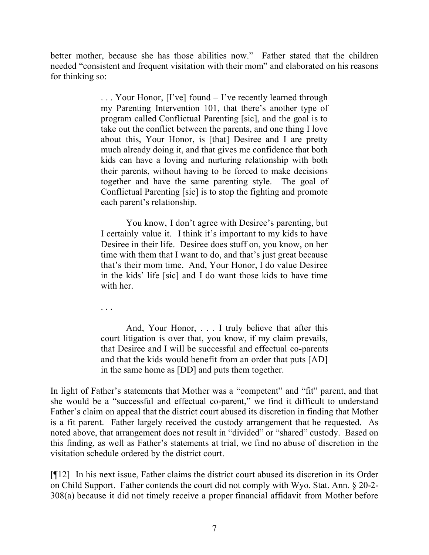better mother, because she has those abilities now." Father stated that the children needed "consistent and frequent visitation with their mom" and elaborated on his reasons for thinking so:

> . . . Your Honor, [I've] found – I've recently learned through my Parenting Intervention 101, that there's another type of program called Conflictual Parenting [sic], and the goal is to take out the conflict between the parents, and one thing I love about this, Your Honor, is [that] Desiree and I are pretty much already doing it, and that gives me confidence that both kids can have a loving and nurturing relationship with both their parents, without having to be forced to make decisions together and have the same parenting style. The goal of Conflictual Parenting [sic] is to stop the fighting and promote each parent's relationship.

> You know, I don't agree with Desiree's parenting, but I certainly value it. I think it's important to my kids to have Desiree in their life. Desiree does stuff on, you know, on her time with them that I want to do, and that's just great because that's their mom time. And, Your Honor, I do value Desiree in the kids' life [sic] and I do want those kids to have time with her.

. . .

And, Your Honor, . . . I truly believe that after this court litigation is over that, you know, if my claim prevails, that Desiree and I will be successful and effectual co-parents and that the kids would benefit from an order that puts [AD] in the same home as [DD] and puts them together.

In light of Father's statements that Mother was a "competent" and "fit" parent, and that she would be a "successful and effectual co-parent," we find it difficult to understand Father's claim on appeal that the district court abused its discretion in finding that Mother is a fit parent. Father largely received the custody arrangement that he requested. As noted above, that arrangement does not result in "divided" or "shared" custody. Based on this finding, as well as Father's statements at trial, we find no abuse of discretion in the visitation schedule ordered by the district court.

[¶12] In his next issue, Father claims the district court abused its discretion in its Order on Child Support. Father contends the court did not comply with Wyo. Stat. Ann. § 20-2- 308(a) because it did not timely receive a proper financial affidavit from Mother before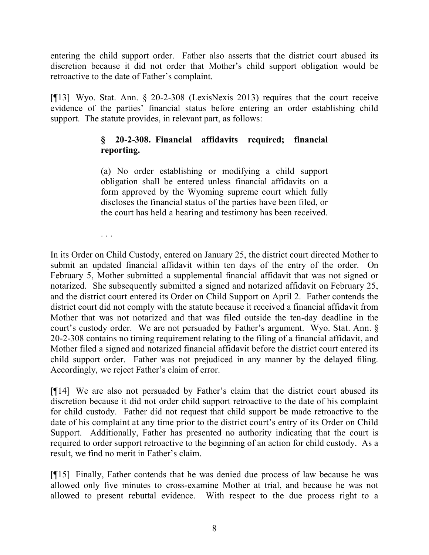entering the child support order. Father also asserts that the district court abused its discretion because it did not order that Mother's child support obligation would be retroactive to the date of Father's complaint.

[¶13] Wyo. Stat. Ann. § 20-2-308 (LexisNexis 2013) requires that the court receive evidence of the parties' financial status before entering an order establishing child support. The statute provides, in relevant part, as follows:

# **§ 20-2-308. Financial affidavits required; financial reporting.**

(a) No order establishing or modifying a child support obligation shall be entered unless financial affidavits on a form approved by the Wyoming supreme court which fully discloses the financial status of the parties have been filed, or the court has held a hearing and testimony has been received.

. . .

In its Order on Child Custody, entered on January 25, the district court directed Mother to submit an updated financial affidavit within ten days of the entry of the order. On February 5, Mother submitted a supplemental financial affidavit that was not signed or notarized. She subsequently submitted a signed and notarized affidavit on February 25, and the district court entered its Order on Child Support on April 2. Father contends the district court did not comply with the statute because it received a financial affidavit from Mother that was not notarized and that was filed outside the ten-day deadline in the court's custody order. We are not persuaded by Father's argument. Wyo. Stat. Ann. § 20-2-308 contains no timing requirement relating to the filing of a financial affidavit, and Mother filed a signed and notarized financial affidavit before the district court entered its child support order. Father was not prejudiced in any manner by the delayed filing. Accordingly, we reject Father's claim of error.

[¶14] We are also not persuaded by Father's claim that the district court abused its discretion because it did not order child support retroactive to the date of his complaint for child custody. Father did not request that child support be made retroactive to the date of his complaint at any time prior to the district court's entry of its Order on Child Support. Additionally, Father has presented no authority indicating that the court is required to order support retroactive to the beginning of an action for child custody. As a result, we find no merit in Father's claim.

[¶15] Finally, Father contends that he was denied due process of law because he was allowed only five minutes to cross-examine Mother at trial, and because he was not allowed to present rebuttal evidence. With respect to the due process right to a